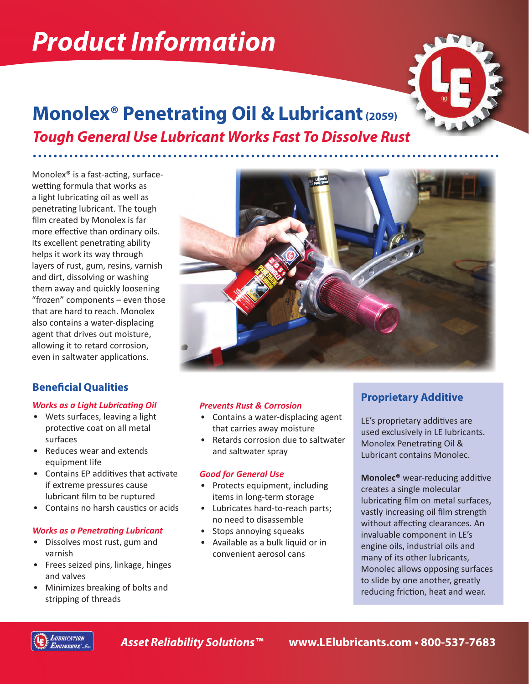# *Product Information*



# **Monolex® Penetrating Oil & Lubricant (2059)** *Tough General Use Lubricant Works Fast To Dissolve Rust*

Monolex® is a fast-acting, surfacewetting formula that works as a light lubricating oil as well as penetrating lubricant. The tough film created by Monolex is far more effective than ordinary oils. Its excellent penetrating ability helps it work its way through layers of rust, gum, resins, varnish and dirt, dissolving or washing them away and quickly loosening "frozen" components – even those that are hard to reach. Monolex also contains a water-displacing agent that drives out moisture, allowing it to retard corrosion, even in saltwater applications.

## **Beneficial Qualities**

#### *Works as a Light Lubricating Oil*

- Wets surfaces, leaving a light protective coat on all metal surfaces
- Reduces wear and extends equipment life
- Contains EP additives that activate if extreme pressures cause lubricant film to be ruptured
- Contains no harsh caustics or acids

#### *Works as a Penetrating Lubricant*

- Dissolves most rust, gum and varnish
- Frees seized pins, linkage, hinges and valves
- Minimizes breaking of bolts and stripping of threads



#### *Prevents Rust & Corrosion*

- Contains a water-displacing agent that carries away moisture
- Retards corrosion due to saltwater and saltwater spray

#### *Good for General Use*

- Protects equipment, including items in long-term storage
- Lubricates hard-to-reach parts; no need to disassemble
- Stops annoying squeaks
- Available as a bulk liquid or in convenient aerosol cans

## **Proprietary Additive**

LE's proprietary additives are used exclusively in LE lubricants. Monolex Penetrating Oil & Lubricant contains Monolec.

**Monolec®** wear-reducing additive creates a single molecular lubricating film on metal surfaces, vastly increasing oil film strength without affecting clearances. An invaluable component in LE's engine oils, industrial oils and many of its other lubricants, Monolec allows opposing surfaces to slide by one another, greatly reducing friction, heat and wear.